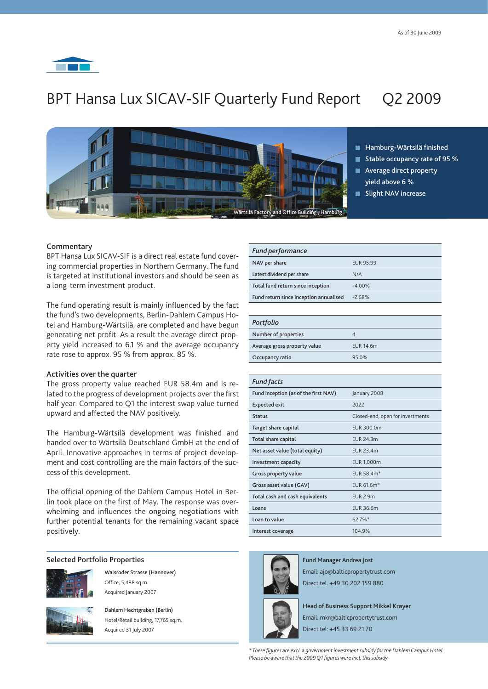

# BPT Hansa Lux SICAV-SIF Quarterly Fund Report Q2 2009



Hamburg-Wärtsilä finished

- Stable occupancy rate of 95  $%$
- **Average direct property**
- yield above 6 %
- Slight NAV increase

# **Commentary**

BPT Hansa Lux SICAV-SIF is a direct real estate fund covering commercial properties in Northern Germany. The fund is targeted at institutional investors and should be seen as a long-term investment product.

The fund operating result is mainly influenced by the fact the fund's two developments, Berlin-Dahlem Campus Hotel and Hamburg-Wärtsilä, are completed and have begun generating net profit. As a result the average direct property yield increased to 6.1 % and the average occupancy rate rose to approx. 95 % from approx. 85 %.

## Activities over the quarter

The gross property value reached EUR 58.4m and is related to the progress of development projects over the first half year. Compared to Q1 the interest swap value turned upward and affected the NAV positively.

The Hamburg-Wärtsilä development was finished and handed over to Wärtsilä Deutschland GmbH at the end of April. Innovative approaches in terms of project development and cost controlling are the main factors of the success of this development.

The official opening of the Dahlem Campus Hotel in Berlin took place on the first of May. The response was overwhelming and influences the ongoing negotiations with further potential tenants for the remaining vacant space positively.

### Selected Portfolio Properties



Walsroder Strasse (Hannover) Office, 5,488 sq.m. Acquired January 2007



Dahlem Hechtgraben (Berlin) Hotel/Retail building, 17,765 sq.m. Acquired 31 July 2007

| <b>Fund performance</b>                |                  |
|----------------------------------------|------------------|
| NAV per share                          | <b>EUR 95.99</b> |
| Latest dividend per share              | N/A              |
| Total fund return since inception      | $-4.00%$         |
| Fund return since inception annualised | $-2.68%$         |

#### *Portfolio*

| rongouo                      |           |
|------------------------------|-----------|
| Number of properties         |           |
| Average gross property value | EUR 14.6m |
| Occupancy ratio              | 95.0%     |

| <b>Fund facts</b>                    |                                  |
|--------------------------------------|----------------------------------|
| Fund inception (as of the first NAV) | January 2008                     |
| <b>Expected exit</b>                 | 2022                             |
| <b>Status</b>                        | Closed-end, open for investments |
| Target share capital                 | EUR 300.0m                       |
| Total share capital                  | FUR 24 3m                        |
| Net asset value (total equity)       | <b>EUR 23.4m</b>                 |
| Investment capacity                  | <b>EUR 1,000m</b>                |
| Gross property value                 | EUR 58.4m <sup>*</sup>           |
| Gross asset value (GAV)              | EUR 61.6m*                       |
| Total cash and cash equivalents      | <b>EUR 2.9m</b>                  |
| Loans                                | <b>EUR 36.6m</b>                 |
| Loan to value                        | 62.7%*                           |
| Interest coverage                    | 104.9%                           |
|                                      |                                  |



Fund Manager Andrea Jost Email: ajo@balticpropertytrust.com Direct tel. +49 30 202 159 880



*\* These figures are excl. a government investment subsidy for the Dahlem Campus Hotel. Please be aware that the 2009 Q1 figures were incl. this subsidy.*